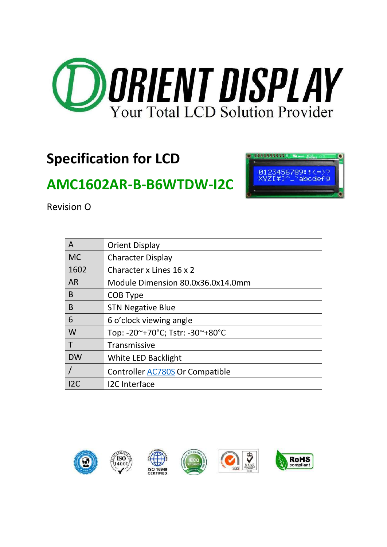

# **Specification for LCD**

# **AMC1602AR-B-B6WTDW-I2C**



Revision O

| A         | <b>Orient Display</b>             |
|-----------|-----------------------------------|
| <b>MC</b> | <b>Character Display</b>          |
| 1602      | Character x Lines 16 x 2          |
| <b>AR</b> | Module Dimension 80.0x36.0x14.0mm |
| B         | COB Type                          |
| B         | <b>STN Negative Blue</b>          |
| 6         | 6 o'clock viewing angle           |
| W         | Top: -20~+70°C; Tstr: -30~+80°C   |
|           | Transmissive                      |
| <b>DW</b> | White LED Backlight               |
|           | Controller AC780S Or Compatible   |
| 12C       | <b>I2C</b> Interface              |

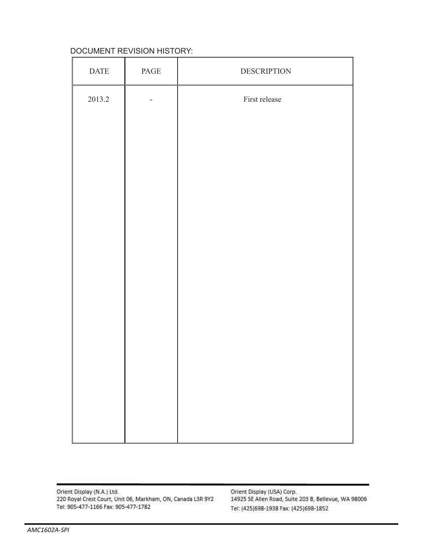#### DOCUMENT REVISION HISTORY:

| $\mathop{\mathrm{DATE}}$ | $\mathop{\mathrm{PAGE}}$ | <b>DESCRIPTION</b> |
|--------------------------|--------------------------|--------------------|
| 2013.2                   |                          | First release      |
|                          |                          |                    |
|                          |                          |                    |
|                          |                          |                    |
|                          |                          |                    |
|                          |                          |                    |
|                          |                          |                    |
|                          |                          |                    |
|                          |                          |                    |
|                          |                          |                    |
|                          |                          |                    |
|                          |                          |                    |
|                          |                          |                    |

Orient Display (N.A.) Ltd.<br>220 Royal Crest Court, Unit 06, Markham, ON, Canada L3R 9Y2 Tel: 905-477-1166 Fax: 905-477-1782

Orient Display (USA) Corp. 14925 SE Allen Road, Suite 203 B, Bellevue, WA 98006 Tel: (425)698-1938 Fax: (425)698-1852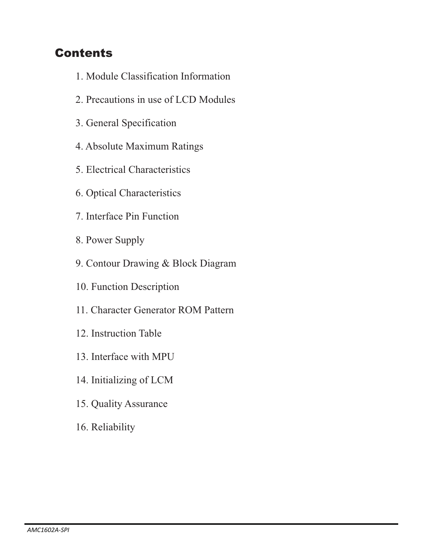### **Contents**

- 1. Module Classification Information
- 2. Precautions in use of LCD Modules
- 3. General Specification
- 4. Absolute Maximum Ratings
- 5. Electrical Characteristics
- 6. Optical Characteristics
- 7. Interface Pin Function
- 8. Power Supply
- 9. Contour Drawing & Block Diagram
- 10. Function Description
- 11. Character Generator ROM Pattern
- 12. Instruction Table
- 13. Interface with MPU
- 14. Initializing of LCM
- 15. Quality Assurance
- 16. Reliability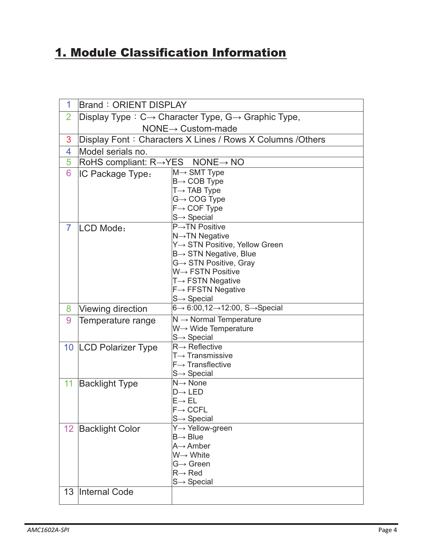### 1. Module Classification Information

| 1               | <b>Brand: ORIENT DISPLAY</b>                              |                                                                             |  |  |  |  |  |  |  |  |  |
|-----------------|-----------------------------------------------------------|-----------------------------------------------------------------------------|--|--|--|--|--|--|--|--|--|
| $\overline{2}$  |                                                           | Display Type: $C \rightarrow$ Character Type, $G \rightarrow$ Graphic Type, |  |  |  |  |  |  |  |  |  |
|                 |                                                           | $NONE \rightarrow$ Custom-made                                              |  |  |  |  |  |  |  |  |  |
| 3               |                                                           | Display Font: Characters X Lines / Rows X Columns / Others                  |  |  |  |  |  |  |  |  |  |
| 4               | Model serials no.                                         |                                                                             |  |  |  |  |  |  |  |  |  |
| 5               | RoHS compliant: $R \rightarrow YES$ NONE $\rightarrow$ NO |                                                                             |  |  |  |  |  |  |  |  |  |
| 6               | IC Package Type:                                          | $M \rightarrow$ SMT Type                                                    |  |  |  |  |  |  |  |  |  |
|                 |                                                           | $B \rightarrow COB$ Type                                                    |  |  |  |  |  |  |  |  |  |
|                 |                                                           | $T \rightarrow$ TAB Type<br>$G \rightarrow COG$ Type                        |  |  |  |  |  |  |  |  |  |
|                 |                                                           | $F \rightarrow COF$ Type                                                    |  |  |  |  |  |  |  |  |  |
|                 |                                                           | $S \rightarrow$ Special                                                     |  |  |  |  |  |  |  |  |  |
| $\overline{7}$  | LCD Mode:                                                 | $P\rightarrow$ TN Positive                                                  |  |  |  |  |  |  |  |  |  |
|                 |                                                           | N→TN Negative                                                               |  |  |  |  |  |  |  |  |  |
|                 |                                                           | Y→ STN Positive, Yellow Green                                               |  |  |  |  |  |  |  |  |  |
|                 |                                                           | $B \rightarrow STN$ Negative, Blue                                          |  |  |  |  |  |  |  |  |  |
|                 |                                                           | $G \rightarrow STN$ Positive, Gray<br>W→ FSTN Positive                      |  |  |  |  |  |  |  |  |  |
|                 |                                                           | $T \rightarrow FSTN$ Negative                                               |  |  |  |  |  |  |  |  |  |
|                 |                                                           | $F \rightarrow FFSTN$ Negative                                              |  |  |  |  |  |  |  |  |  |
|                 |                                                           | $S \rightarrow$ Special                                                     |  |  |  |  |  |  |  |  |  |
| 8               | Viewing direction                                         | $6 \rightarrow 6:00,12 \rightarrow 12:00, S \rightarrow Special$            |  |  |  |  |  |  |  |  |  |
| 9               | Temperature range                                         | $N \rightarrow$ Normal Temperature                                          |  |  |  |  |  |  |  |  |  |
|                 |                                                           | W→ Wide Temperature                                                         |  |  |  |  |  |  |  |  |  |
|                 |                                                           | $S \rightarrow$ Special                                                     |  |  |  |  |  |  |  |  |  |
|                 | 10   LCD Polarizer Type                                   | $R\rightarrow$ Reflective<br>$T\rightarrow$ Transmissive                    |  |  |  |  |  |  |  |  |  |
|                 |                                                           | $F \rightarrow$ Transflective                                               |  |  |  |  |  |  |  |  |  |
|                 |                                                           | $S \rightarrow$ Special                                                     |  |  |  |  |  |  |  |  |  |
| 11              | <b>Backlight Type</b>                                     | $N \rightarrow$ None                                                        |  |  |  |  |  |  |  |  |  |
|                 |                                                           | $D \rightarrow LED$                                                         |  |  |  |  |  |  |  |  |  |
|                 |                                                           | $\mathsf{E}{\rightarrow}\,\mathsf{EL}$                                      |  |  |  |  |  |  |  |  |  |
|                 |                                                           | $F \rightarrow C C F L$                                                     |  |  |  |  |  |  |  |  |  |
|                 |                                                           | $S \rightarrow$ Special<br>Y→ Yellow-green                                  |  |  |  |  |  |  |  |  |  |
| 12 <sub>2</sub> | <b>Backlight Color</b>                                    | $B \rightarrow B$ lue                                                       |  |  |  |  |  |  |  |  |  |
|                 |                                                           | $A \rightarrow$ Amber                                                       |  |  |  |  |  |  |  |  |  |
|                 |                                                           | $W \rightarrow W$ hite                                                      |  |  |  |  |  |  |  |  |  |
|                 |                                                           | $G \rightarrow$ Green                                                       |  |  |  |  |  |  |  |  |  |
|                 |                                                           | $R \rightarrow$ Red                                                         |  |  |  |  |  |  |  |  |  |
|                 |                                                           | $S \rightarrow$ Special                                                     |  |  |  |  |  |  |  |  |  |
| 13              | Internal Code                                             |                                                                             |  |  |  |  |  |  |  |  |  |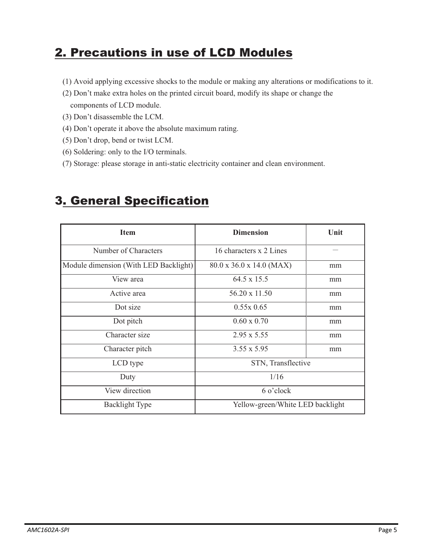### 2. Precautions in use of LCD Modules

- (1) Avoid applying excessive shocks to the module or making any alterations or modifications to it.
- (2) Don't make extra holes on the printed circuit board, modify its shape or change the components of LCD module.
- (3) Don't disassemble the LCM.
- (4) Don't operate it above the absolute maximum rating.
- (5) Don't drop, bend or twist LCM.
- (6) Soldering: only to the I/O terminals.
- (7) Storage: please storage in anti-static electricity container and clean environment.

### 3. General Specification

| <b>Item</b>                           | <b>Dimension</b>                     | Unit |  |  |  |  |
|---------------------------------------|--------------------------------------|------|--|--|--|--|
| Number of Characters                  | 16 characters x 2 Lines              |      |  |  |  |  |
| Module dimension (With LED Backlight) | $80.0 \times 36.0 \times 14.0$ (MAX) | mm   |  |  |  |  |
| View area                             | 64.5 x 15.5                          | mm   |  |  |  |  |
| Active area                           | 56.20 x 11.50                        | mm   |  |  |  |  |
| Dot size                              | $0.55x\,0.65$                        | mm   |  |  |  |  |
| Dot pitch                             | $0.60 \times 0.70$                   | mm   |  |  |  |  |
| Character size                        | $2.95 \times 5.55$                   | mm   |  |  |  |  |
| Character pitch                       | $3.55 \times 5.95$                   | mm   |  |  |  |  |
| LCD type                              | STN, Transflective                   |      |  |  |  |  |
| Duty                                  | 1/16                                 |      |  |  |  |  |
| View direction                        | 6 o'clock                            |      |  |  |  |  |
| <b>Backlight Type</b>                 | Yellow-green/White LED backlight     |      |  |  |  |  |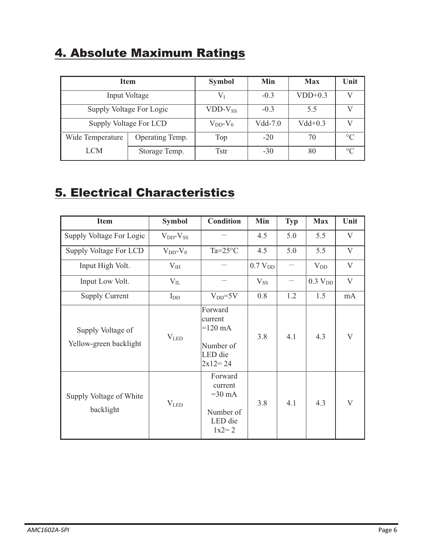### 4. Absolute Maximum Ratings

|                  | <b>Item</b>              | <b>Symbol</b>    | Min       | <b>Max</b> | Unit    |
|------------------|--------------------------|------------------|-----------|------------|---------|
|                  | Input Voltage            |                  | $-0.3$    | $VDD+0.3$  |         |
|                  | Supply Voltage For Logic | $VDD-V_{SS}$     | $-0.3$    | 5.5        |         |
|                  | Supply Voltage For LCD   | $V_{DD}$ - $V_0$ | $Vdd-7.0$ | $Vdd+0.3$  |         |
| Wide Temperature | Operating Temp.          | Top              | $-20$     | 70         | $\circ$ |
| <b>LCM</b>       | Storage Temp.            | Tstr             | $-30$     | 80         | $\circ$ |

### 5. Electrical Characteristics

| <b>Item</b>                                 | <b>Symbol</b>       | <b>Condition</b>                                                             | Min                 | <b>Typ</b> | <b>Max</b>          | Unit         |
|---------------------------------------------|---------------------|------------------------------------------------------------------------------|---------------------|------------|---------------------|--------------|
| Supply Voltage For Logic                    | $V_{DD}$ - $V_{SS}$ |                                                                              | 4.5                 | 5.0        | 5.5                 | V            |
| Supply Voltage For LCD                      | $V_{DD}$ - $V_0$    | $Ta=25^{\circ}C$                                                             | 4.5                 | 5.0        | 5.5                 | V            |
| Input High Volt.                            | $V_{IH}$            |                                                                              | 0.7 V <sub>DD</sub> |            | $V_{DD}$            | $\mathbf{V}$ |
| Input Low Volt.                             | $V_{IL}$            |                                                                              | $V_{SS}$            |            | 0.3 V <sub>DD</sub> | V            |
| <b>Supply Current</b>                       | $I_{DD}$            | $V_{DD} = 5V$                                                                | 0.8                 | 1.2        | 1.5                 | mA           |
| Supply Voltage of<br>Yellow-green backlight | V <sub>LED</sub>    | Forward<br>current<br>$=120 \text{ mA}$<br>Number of<br>LED die<br>$2x12=24$ | 3.8                 | 4.1        | 4.3                 | V            |
| Supply Voltage of White<br>backlight        | $V_{LED}$           | Forward<br>current<br>$=30$ mA<br>Number of<br>LED die<br>$1x2 = 2$          | 3.8                 | 4.1        | 4.3                 | V            |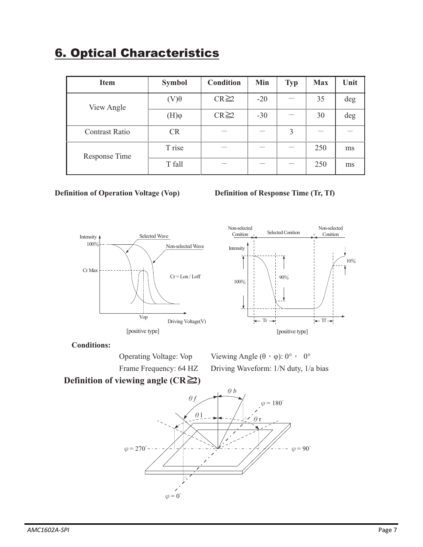### 6. Optical Characteristics

| <b>Item</b>           | <b>Symbol</b>         | <b>Condition</b> | Min   | <b>Typ</b> | <b>Max</b> | Unit |
|-----------------------|-----------------------|------------------|-------|------------|------------|------|
| View Angle            | $(V)\theta$           | $CR \geq 2$      | $-20$ |            | 35         | deg  |
|                       | $(\mathrm{H})\varphi$ | $CR \geq 2$      | $-30$ |            | 30         | deg  |
| <b>Contrast Ratio</b> | <b>CR</b>             |                  |       | 3          |            |      |
| Response Time         | T rise                |                  |       |            | 250        | ms   |
|                       | T fall                |                  |       |            | 250        | ms   |

#### **Definition of Operation Voltage (Vop) Definition of Response Time (Tr, Tf)**







#### **Conditions:**

Operating Voltage: Vop

Viewing Angle  $(\theta \cdot \varphi)$ : 0°, 0° Frame Frequency: 64 HZ Driving Waveform: 1/N duty, 1/a bias

### **Definition of viewing angle (CR≥2)**

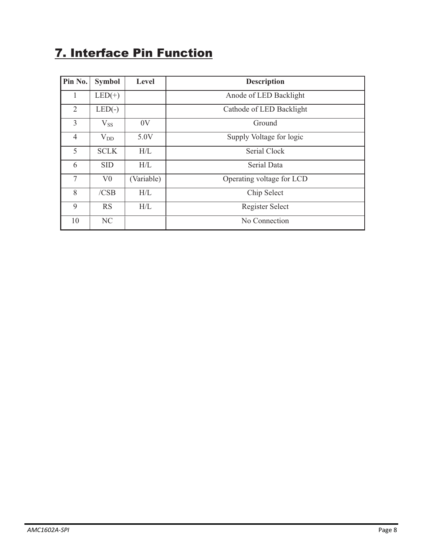### 7. Interface Pin Function

| Pin No.        | <b>Symbol</b>                                | Level               | <b>Description</b>        |  |  |  |  |  |
|----------------|----------------------------------------------|---------------------|---------------------------|--|--|--|--|--|
| 1              | $LED(+)$                                     |                     | Anode of LED Backlight    |  |  |  |  |  |
| $\overline{2}$ | $LED(-)$                                     |                     | Cathode of LED Backlight  |  |  |  |  |  |
| $\overline{3}$ | $V_{SS}$                                     | 0V                  | Ground                    |  |  |  |  |  |
| $\overline{4}$ | Supply Voltage for logic<br>5.0V<br>$V_{DD}$ |                     |                           |  |  |  |  |  |
| 5              | <b>SCLK</b>                                  | Serial Clock<br>H/L |                           |  |  |  |  |  |
| 6              | <b>SID</b>                                   | H/L                 | Serial Data               |  |  |  |  |  |
| 7              | V <sub>0</sub>                               | (Variable)          | Operating voltage for LCD |  |  |  |  |  |
| 8              | /CSB                                         | H/L                 | Chip Select               |  |  |  |  |  |
| 9              | <b>RS</b>                                    | H/L                 | Register Select           |  |  |  |  |  |
| 10             | NC                                           |                     | No Connection             |  |  |  |  |  |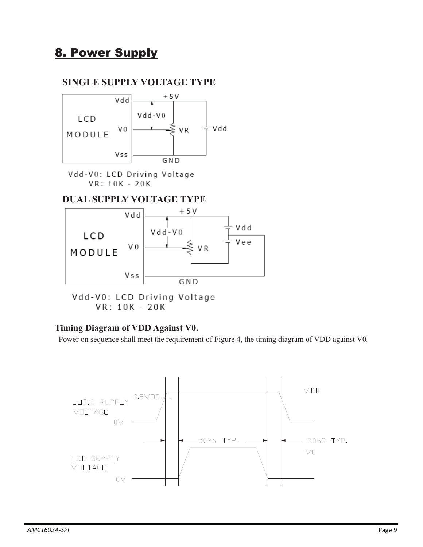### 8. Power Supply

### **SINGLE SUPPLY VOLTAGE TYPE**



Vdd-V0: LCD Driving Voltage VR: 10K - 20K

#### **DUAL SUPPLY VOLTAGE TYPE**



Vdd-V0: LCD Driving Voltage VR: 10K - 20K

#### **Timing Diagram of VDD Against V0.**

Power on sequence shall meet the requirement of Figure 4, the timing diagram of VDD against V0.

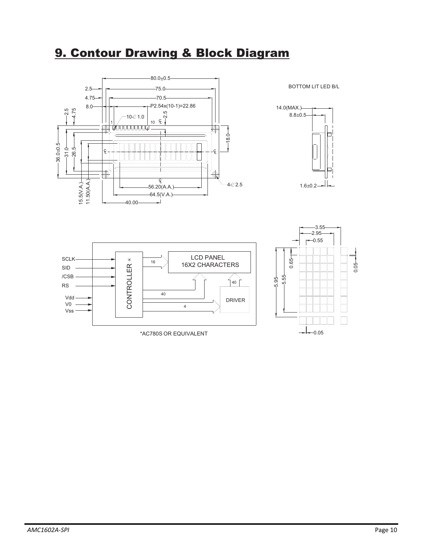### 9. Contour Drawing & Block Diagram



BOTTOM LIT LED B/L



#### LCD PANEL SCLK  $\ast$ 16 16X2 CHARACTERS CONTROLLER SID CONTROLLER /CSB  $|40|$ RS 40 Vdd DRIVER V0 4 Vss

\*AC780S OR EQUIVALENT

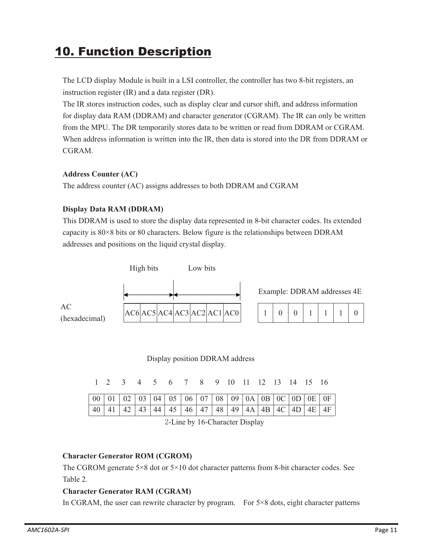### 10. Function Description

 The LCD display Module is built in a LSI controller, the controller has two 8-bit registers, an instruction register (IR) and a data register (DR).

The IR stores instruction codes, such as display clear and cursor shift, and address information for display data RAM (DDRAM) and character generator (CGRAM). The IR can only be written from the MPU. The DR temporarily stores data to be written or read from DDRAM or CGRAM. When address information is written into the IR, then data is stored into the DR from DDRAM or CGRAM.

#### **Address Counter (AC)**

The address counter (AC) assigns addresses to both DDRAM and CGRAM

#### **Display Data RAM (DDRAM)**

This DDRAM is used to store the display data represented in 8-bit character codes. Its extended capacity is 80×8 bits or 80 characters. Below figure is the relationships between DDRAM addresses and positions on the liquid crystal display.



#### Display position DDRAM address

1 2 3 4 5 6 7 8 9 10 11 12 13 14 15 16

|  |  | 40   41   42   43   44   45   46   47   48   49   4A   4B   4C   4D   4E   4F |  |  |  |  |  |
|--|--|-------------------------------------------------------------------------------|--|--|--|--|--|



#### **Character Generator ROM (CGROM)**

The CGROM generate 5×8 dot or 5×10 dot character patterns from 8-bit character codes. See Table 2.

#### **Character Generator RAM (CGRAM)**

In CGRAM, the user can rewrite character by program. For  $5\times 8$  dots, eight character patterns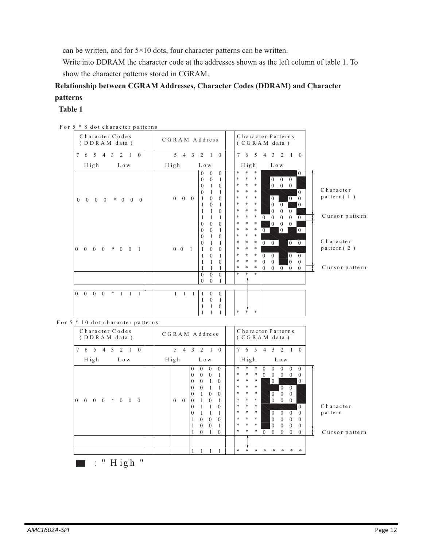can be written, and for 5×10 dots, four character patterns can be written.

Write into DDRAM the character code at the addresses shown as the left column of table 1. To show the character patterns stored in CGRAM.

#### **Relationship between CGRAM Addresses, Character Codes (DDRAM) and Character patterns**

#### **Table 1**

| $\sigma$ able character patterns                                |                                                                                                                                                                                                                                                                                                                                                                                                                                                                                                                                                                                                                                 |                                                                                                                                                                                                                                                                                                                                                                                                                                                                                                                                                                                                                                                                                                                                                                                                                                          |                                                 |
|-----------------------------------------------------------------|---------------------------------------------------------------------------------------------------------------------------------------------------------------------------------------------------------------------------------------------------------------------------------------------------------------------------------------------------------------------------------------------------------------------------------------------------------------------------------------------------------------------------------------------------------------------------------------------------------------------------------|------------------------------------------------------------------------------------------------------------------------------------------------------------------------------------------------------------------------------------------------------------------------------------------------------------------------------------------------------------------------------------------------------------------------------------------------------------------------------------------------------------------------------------------------------------------------------------------------------------------------------------------------------------------------------------------------------------------------------------------------------------------------------------------------------------------------------------------|-------------------------------------------------|
| Character Codes<br>(DDRAM data)                                 | CGRAM Address                                                                                                                                                                                                                                                                                                                                                                                                                                                                                                                                                                                                                   | Character Patterns<br>(CGRAM data)                                                                                                                                                                                                                                                                                                                                                                                                                                                                                                                                                                                                                                                                                                                                                                                                       |                                                 |
| 7 6 5 4 3 2 1 0                                                 | $5$ 4 3 2 1 0                                                                                                                                                                                                                                                                                                                                                                                                                                                                                                                                                                                                                   | 7 6 5 4 3 2 1 0                                                                                                                                                                                                                                                                                                                                                                                                                                                                                                                                                                                                                                                                                                                                                                                                                          |                                                 |
| High<br>L o w                                                   | H igh<br>L o w                                                                                                                                                                                                                                                                                                                                                                                                                                                                                                                                                                                                                  | H igh<br>L o w                                                                                                                                                                                                                                                                                                                                                                                                                                                                                                                                                                                                                                                                                                                                                                                                                           |                                                 |
| $0\quad 0\quad 0$<br>$*$ 0 0 0<br>$\overline{0}$                | $\theta$<br>$\mathbf{0}$<br>$\mathbf{0}$<br>$\boldsymbol{0}$<br>$\overline{0}$<br>1<br>$\mathbf{0}$<br>1<br>$\mathbf{0}$<br>$\mathbf{0}$<br>1<br>$\mathbf{1}$<br>$\mathbf{0}$<br>$0\quad 0\quad 0$<br>$\Omega$<br>1<br>$\theta$<br>1<br>$\mathbf{1}$<br>$\mathbf{1}$<br>1<br>$\theta$<br>1<br>1<br>1<br>$\mathbf{0}$<br>$\theta$<br>$\mathbf{0}$                                                                                                                                                                                                                                                                                | $\ast$<br>*<br>*<br>$\overline{0}$<br>*<br>$\ast$<br>*<br>$0\quad 0\quad 0$<br>$\begin{bmatrix} 0 & 0 & 0 \end{bmatrix}$<br>$\ast$<br>×<br>*<br>$\ast$<br>$\ast$<br>*<br>$\overline{0}$<br>$\ast$<br>$\ast$<br>×<br>$\mathbf{0}$<br>$\overline{0}$<br>$\theta$<br>$\ast$<br>×<br>*<br>$\overline{0}$<br>$\overline{0}$<br>$\overline{0}$<br>*<br>×<br>*<br>$\theta$<br>$\mathbf{0}$<br>$\boldsymbol{0}$<br>×<br>$*$<br>*<br>$\mathbf{0}$<br>$\overline{0}$<br>$\overline{0}$<br>$\overline{0}$<br>$\overline{0}$<br>*<br>$\ast$<br>$\mathbf{0}$<br>*<br>$\overline{0}$<br>$\overline{0}$                                                                                                                                                                                                                                                 | Character<br>$p$ attern $(1)$<br>Cursor pattern |
| $0 \t0 \t0 \t* \t0 \t0 \t1$<br>$\overline{0}$                   | $\mathbf{0}$<br>$\mathbf{0}$<br>$\mathbf{1}$<br>$\mathbf{0}$<br>$\mathbf{1}$<br>$\theta$<br>$\theta$<br>1<br>1<br>$\overline{0}$<br>$0 \quad 0 \quad 1$<br>$\mathbf{1}$<br>$\theta$<br>$\mathbf{1}$<br>$\overline{0}$<br>1<br>$\mathbf{1}$<br>1<br>$\theta$<br>$\mathbf{1}$<br>1<br>$\mathbf{1}$<br>$\theta$<br>$\overline{0}$<br>$\overline{0}$                                                                                                                                                                                                                                                                                | *<br>$\ast$<br>×<br>$\overline{0}$<br>$\overline{0}$<br>$\mathbf{0}$<br>$\ast$<br>*<br>×<br>$\boxed{0 \quad 0}$<br>*<br>*<br>$0 \quad 0$<br>*<br>$\ast$<br>$\ast$<br>$\ast$<br>×<br>$0 \quad 0$<br>$\boldsymbol{0}$<br>$\overline{0}$<br>*<br>$\ast$<br>$\overline{0}$<br>*<br>$\boldsymbol{0}$<br>$\overline{0}$<br>$\overline{0}$<br>$0\quad 0$<br>*<br>*<br>$\ast$<br>$0 \quad 0$<br>$\overline{0}$<br>¥<br>$\ast$<br>$\ast$                                                                                                                                                                                                                                                                                                                                                                                                          | Character<br>$p$ attern $(2)$<br>Cursor pattern |
|                                                                 | $\theta$<br>$\mathbf{0}$<br>1                                                                                                                                                                                                                                                                                                                                                                                                                                                                                                                                                                                                   |                                                                                                                                                                                                                                                                                                                                                                                                                                                                                                                                                                                                                                                                                                                                                                                                                                          |                                                 |
|                                                                 |                                                                                                                                                                                                                                                                                                                                                                                                                                                                                                                                                                                                                                 |                                                                                                                                                                                                                                                                                                                                                                                                                                                                                                                                                                                                                                                                                                                                                                                                                                          |                                                 |
| $0 \t 0 \t 0$ *<br>$\overline{0}$<br>-1<br>$\mathbf{1}$<br>-1   | $\mathbf{1}$<br>-1<br>$\mathbf{0}$<br>$\mathbf{0}$<br>-1<br>$\mathbf{1}$<br>$\mathbf{1}$<br>$\overline{0}$<br>$\mathbf{1}$<br>$\mathbf{1}$<br>1<br>$\overline{0}$<br>$\mathbf{1}$<br>1<br>$\mathbf{1}$                                                                                                                                                                                                                                                                                                                                                                                                                          | *<br>$\ast$                                                                                                                                                                                                                                                                                                                                                                                                                                                                                                                                                                                                                                                                                                                                                                                                                              |                                                 |
| For 5 * 10 dot character patterns                               |                                                                                                                                                                                                                                                                                                                                                                                                                                                                                                                                                                                                                                 |                                                                                                                                                                                                                                                                                                                                                                                                                                                                                                                                                                                                                                                                                                                                                                                                                                          |                                                 |
| Character Codes<br>(DDRAM data)                                 | CGRAM Address                                                                                                                                                                                                                                                                                                                                                                                                                                                                                                                                                                                                                   | Character Patterns<br>(CGRAM data)                                                                                                                                                                                                                                                                                                                                                                                                                                                                                                                                                                                                                                                                                                                                                                                                       |                                                 |
| 7 6 5<br>$4 \quad 3 \quad 2$<br>$1 \quad 0$                     | $4$ 3 2 1 0<br>5 <sup>7</sup>                                                                                                                                                                                                                                                                                                                                                                                                                                                                                                                                                                                                   | 7 6 5<br>$\overline{4}$<br>$\mathfrak{Z}$<br>2 1 0                                                                                                                                                                                                                                                                                                                                                                                                                                                                                                                                                                                                                                                                                                                                                                                       |                                                 |
| High<br>L o w                                                   | High<br>L o w                                                                                                                                                                                                                                                                                                                                                                                                                                                                                                                                                                                                                   | High<br>L o w                                                                                                                                                                                                                                                                                                                                                                                                                                                                                                                                                                                                                                                                                                                                                                                                                            |                                                 |
| $0\quad 0\quad 0$<br>$\overline{0}$<br>$0 \quad 0 \quad 0$<br>* | $0 \quad 0$<br>$\mathbf{0}$<br>$\overline{0}$<br>$\boldsymbol{0}$<br>$\theta$<br>$\overline{0}$<br>1<br>$\theta$<br>$\theta$<br>$\overline{0}$<br>$\overline{1}$<br>$\theta$<br>$\mathbf{1}$<br>$\theta$<br>1<br>$\mathbf{0}$<br>$\boldsymbol{0}$<br>1<br>$\overline{0}$<br>$0 \quad 0$<br>$\mathbf{1}$<br>$\mathbf{0}$<br>$\boldsymbol{0}$<br>1<br>$\mathbf{1}$<br>$\mathbf{1}$<br>$\Omega$<br>$\mathbf{0}$<br>$\theta$<br>$\mathbf{1}$<br>$\mathbf{1}$<br>$\mathbf{1}$<br>$\theta$<br>$\theta$<br>1<br>$\Omega$<br>$\boldsymbol{0}$<br>1<br>$\boldsymbol{0}$<br>1<br>$\mathbf{1}$<br>$\boldsymbol{0}$<br>-1<br>$\overline{0}$ | *<br>*<br>$\ast$<br>$\mathbf{0}$<br>$0 \quad 0$<br>$\overline{0}$<br>$\overline{0}$<br>*<br>$\ast$<br>*<br>$\boldsymbol{0}$<br>$\overline{0}$<br>$0\quad 0$<br>$\theta$<br>$\ast$<br>$\ast$<br>$*$<br>$\overline{0}$<br>$\theta$<br>$\ast$<br>$\overline{0}$<br>*<br>$*$<br>$\overline{0}$<br>$\ast$<br>*<br>$\mathbf{0}$<br>$\overline{0}$<br>$\mathbf{0}$<br>$\ast$<br>×<br>*<br>$\overline{0}$<br>$0 \quad 0$<br>$\ast$<br>*<br>$\overline{0}$<br>$\ast$<br>$\mathbf{0}$<br>$\ast$<br>$*$<br>$\overline{0}$<br>$\overline{0}$<br>$\overline{0}$<br>$\ast$<br>×<br>$\boldsymbol{0}$<br>$\theta$<br>$\theta$<br>*<br>$\theta$<br>$\ast$<br>$\boldsymbol{0}$<br>$\overline{0}$<br>$\boldsymbol{0}$<br>$\boldsymbol{0}$<br>$\ast$<br>$\ast$<br>$\ast$<br>$\overline{0}$<br>$\mathbf{0}$<br>$\mathbf{0}$<br>$\overline{0}$<br>$\mathbf{0}$ | Character<br>pattern<br>Cursor pattern          |
|                                                                 |                                                                                                                                                                                                                                                                                                                                                                                                                                                                                                                                                                                                                                 |                                                                                                                                                                                                                                                                                                                                                                                                                                                                                                                                                                                                                                                                                                                                                                                                                                          |                                                 |
|                                                                 | -1<br>1<br>-1<br>1                                                                                                                                                                                                                                                                                                                                                                                                                                                                                                                                                                                                              | $\ast$<br>$\ast$<br>$\ast$<br>$\ast$<br>$\ast$<br>$\ast$<br>$\ast$                                                                                                                                                                                                                                                                                                                                                                                                                                                                                                                                                                                                                                                                                                                                                                       |                                                 |

For 5 \* 8 dot character patterns

 $\blacksquare$ : " High "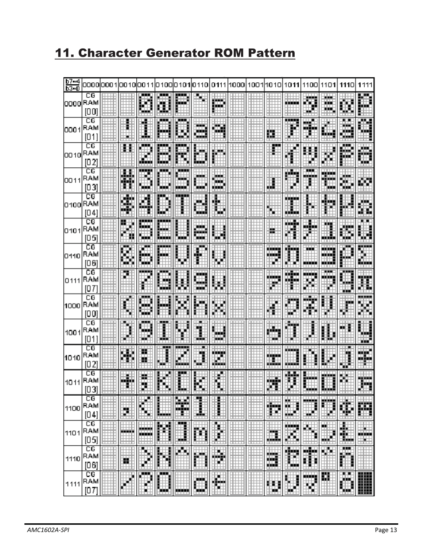### 11. Character Generator ROM Pattern

| $b7 - 4$<br>b3=0 | 0000                          | י ממם    | OO 10                |                     |              | 01 O                    | 0110                | 0111           | 1000 | 1001                     | 1010               | 1011   | 1100                  | 1101               | 1110                                                                                                                                  | 1111                             |
|------------------|-------------------------------|----------|----------------------|---------------------|--------------|-------------------------|---------------------|----------------|------|--------------------------|--------------------|--------|-----------------------|--------------------|---------------------------------------------------------------------------------------------------------------------------------------|----------------------------------|
| looool           | CG<br>RAM<br>[00]             |          |                      | Ø                   | a            | 嚴                       |                     | m              |      |                          |                    | n mars | ij                    | ш.<br>п.<br>u int  | 鵩                                                                                                                                     | w                                |
| lOOO 1           | СG<br>RAM<br>[01]             |          |                      | ш,                  | <br>ш        | ₿                       | --<br>an d<br>--    | D.             |      |                          | Щ                  |        | œ<br>alian            | d.                 | œ<br>a provinci<br>تساد                                                                                                               | m                                |
| 0010             | CG<br>RAM<br>[02]             |          |                      | ш<br>المرارا        | in na<br>i.  | m                       | ₩<br>願              | ш.             |      |                          | ⊞                  |        |                       |                    | ┅<br>-94<br>bin (                                                                                                                     | œ<br>Ψ                           |
| IOO 1 1          | СG<br>RAM<br>[03]             |          |                      | man<br>ш.           | ---<br>an d  | ---<br>₩<br>تبنير       | man i<br>W          | œ<br>ш.<br>H.  |      |                          | ш                  | m      | ш<br>---              | ш<br>♦             | 瞶<br>w                                                                                                                                | æ                                |
| 0100 RAM         | CG<br>[04]                    |          | wa kata<br>ы<br>min' | P.                  | w.           | ببيب                    | æ.<br>w             | H              |      |                          | К                  | me     |                       | ma                 |                                                                                                                                       | жu,<br>R                         |
| 10101            | $\overline{c}$<br>RAM<br>[05] |          | H<br>l               | hing,<br>W,         | щ<br>التبايا |                         | 鼺                   | H              |      |                          | н                  | m      | mine                  | ┅                  | œ<br>m                                                                                                                                | sм                               |
| 0110             | CG<br>RAM<br>[06]             |          |                      | 厠<br>w              | أحجع<br>⊕    |                         | È<br>Ŧ              | ₩              |      |                          | فالأناث<br>wч<br>Ħ | m      | mana ay isa<br>وزيرين | فتنافذ<br>w<br>mar |                                                                                                                                       | وبرب<br>H                        |
| 0111             | CG<br>RAM<br>10 T             |          |                      |                     | m<br>- 7     |                         | فتبارغ<br>ш<br>ma d | H              |      |                          | $\spadesuit$       | ы.     | والشابات              | m.                 | <u>н. нар</u><br>ш                                                                                                                    | œ                                |
| 1000             | СG<br>RAM<br>[00]             |          |                      | <u>.</u><br>œ<br>m. | m            |                         | m                   | ł              |      |                          | ş                  |        |                       |                    | P.                                                                                                                                    |                                  |
| 1001             | CG<br>RAM<br>[01]             |          |                      | ш                   | 3<br>---     |                         | w<br>J,             | yik.<br>. .    |      |                          | U.<br>щ            |        |                       |                    | œ                                                                                                                                     | m<br>┅                           |
| 1010             | CG<br>RAM<br>[02]             |          |                      | 遺                   | H            | <u>.</u><br>č<br>⊞      | æ<br>               | فالأنافذ<br>W. |      |                          | ⊕                  |        |                       |                    | l.<br>w                                                                                                                               | m<br>98                          |
| 1011             | СG<br>RAM<br>[03]             |          | والأقران             | - 1                 |              | lee.                    | 晦                   |                |      |                          | 199                | ш      | يبيع                  | an a               |                                                                                                                                       | w<br>il in the                   |
| 1100             | СG<br>RAM<br>[04]             |          | щ                    | .<br>▦              | <u>um</u>    | Ħ<br>.                  | H                   | Ш<br>ستنت      |      | $\overline{\phantom{a}}$ | E                  | E      |                       | E.                 | 鄻                                                                                                                                     | 睜                                |
| 1101             | СG<br>RAM<br>[05]             | <b>.</b> | والمناد              | 膴<br>₩              | 圞<br>.       | Ħ<br>$\overline{11111}$ | 的<br>.              | ş<br>H         |      | m                        | E<br>.             | E      | 舉<br>التفاتل          | <b>Kill</b>        | ш.<br>30<br><u> 1999 - 1999 - 1999 - 1999 - 1999 - 1999 - 1999 - 1999 - 1999 - 1999 - 1999 - 1999 - 1999 - 1999 - 1999 - 199</u><br>. | die Et<br>an bara<br>⊞∎±<br>---- |
| 1110             | CG<br>RAM<br>[06]             |          | 鼍                    | V,<br>ř             | 瞬            | m,                      | 鬬                   | H              |      |                          | 讔                  | E      | 躣                     | Шt                 | 鷏<br>H                                                                                                                                |                                  |
| 1111             | $_{\rm CG}$<br>RAM<br>[07]    |          |                      | m,<br>Ě             | m.<br>▦      | m                       | ₩<br>Ш              | 臘              |      |                          | ▦                  | H      | H                     | 覸                  | ш<br>▓                                                                                                                                | ▓                                |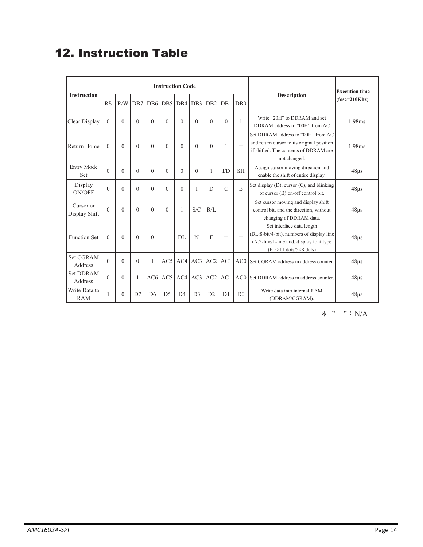## 12. Instruction Table

|                             |          |          |                |                 |                 | <b>Instruction Code</b> |                 |                 |                          |                          |                                                                                                                                                                          | <b>Execution time</b><br>$(fose=210Khz)$ |  |
|-----------------------------|----------|----------|----------------|-----------------|-----------------|-------------------------|-----------------|-----------------|--------------------------|--------------------------|--------------------------------------------------------------------------------------------------------------------------------------------------------------------------|------------------------------------------|--|
| <b>Instruction</b>          | RS       | R/W      | DB7            | D <sub>B6</sub> | DB <sub>5</sub> | D <sub>B4</sub>         | DB <sub>3</sub> | D <sub>B2</sub> | D <sub>B</sub> 1         | DB0                      | <b>Description</b>                                                                                                                                                       |                                          |  |
| Clear Display               | $\theta$ | $\Omega$ | $\Omega$       | $\Omega$        | $\Omega$        | $\Omega$                | $\Omega$        | $\Omega$        | $\theta$                 | 1                        | Write "20H" to DDRAM and set<br>DDRAM address to "00H" from AC                                                                                                           | 1.98ms                                   |  |
| Return Home                 | $\theta$ | $\Omega$ | $\Omega$       | $\Omega$        | $\theta$        | $\Omega$                | $\Omega$        | $\theta$        | 1                        |                          | Set DDRAM address to "00H" from AC<br>and return cursor to its original position<br>if shifted. The contents of DDRAM are<br>not changed.                                | 1.98ms                                   |  |
| Entry Mode<br>Set           | $\theta$ | $\Omega$ | $\Omega$       | $\Omega$        | $\Omega$        | $\Omega$                | $\Omega$        |                 | I/D                      | <b>SH</b>                | Assign cursor moving direction and<br>enable the shift of entire display.                                                                                                | $48\mu s$                                |  |
| Display<br>ON/OFF           | $\Omega$ | $\Omega$ | $\Omega$       | $\Omega$        | $\Omega$        | $\Omega$                | 1               | D               | $\mathcal{C}$            | $\overline{B}$           | Set display (D), cursor (C), and blinking<br>of cursor (B) on/off control bit.                                                                                           | $48\mu s$                                |  |
| Cursor or<br>Display Shift  | $\Omega$ | $\Omega$ | $\Omega$       | $\Omega$        | $\Omega$        | 1                       | S/C             | R/I             | $\overline{\phantom{0}}$ | $\overline{\phantom{0}}$ | Set cursor moving and display shift<br>control bit, and the direction, without<br>changing of DDRAM data.                                                                | $48\mu s$                                |  |
| <b>Function Set</b>         | $\theta$ | $\Omega$ | $\Omega$       | $\Omega$        | $\mathbf{1}$    | DL.                     | N               | F               | $\overline{\phantom{0}}$ |                          | Set interface data length<br>(DL:8-bit/4-bit), numbers of display line<br>(N:2-line/1-line) and, display font type<br>$(F:5\times11 \text{ dots}/5\times8 \text{ dots})$ | $48\mu s$                                |  |
| Set CGRAM<br>Address        | $\theta$ | $\Omega$ | $\Omega$       | 1               | AC5             | AC4                     | AC3             | AC2             | AC1                      | AC0                      | Set CGRAM address in address counter.                                                                                                                                    | $48\mu s$                                |  |
| <b>Set DDRAM</b><br>Address | $\theta$ | $\theta$ | 1              | AC6             | AC5             | AC4                     | AC3             | AC <sub>2</sub> | AC1                      | AC0                      | Set DDRAM address in address counter.                                                                                                                                    | $48\mu s$                                |  |
| Write Data to<br><b>RAM</b> | 1        | $\Omega$ | D <sub>7</sub> | D <sub>6</sub>  | D <sub>5</sub>  | $\mathsf{D}4$           | D <sub>3</sub>  | D2              | D <sub>1</sub>           | D <sub>0</sub>           | Write data into internal RAM<br>(DDRAM/CGRAM).                                                                                                                           | $48\mu s$                                |  |

 $\ast$  "–": N/A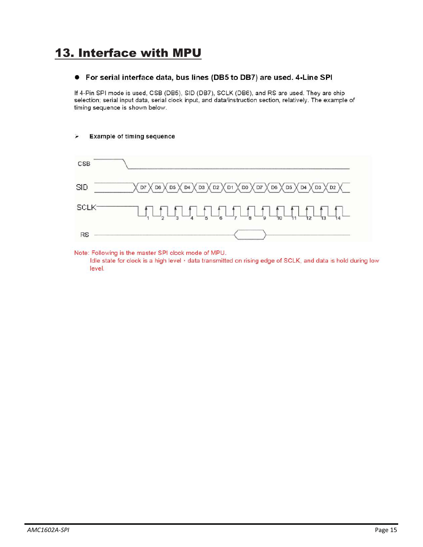### 13. Interface with MPU

#### ● For serial interface data, bus lines (DB5 to DB7) are used. 4-Line SPI

If 4-Pin SPI mode is used, CSB (DB5), SID (DB7), SCLK (DB6), and RS are used. They are chip selection; serial input data, serial clock input, and data/instruction section, relatively. The example of timing sequence is shown below.

#### **Example of timing sequence**  $\blacktriangleright$



Note: Following is the master SPI clock mode of MPU. Idle state for clock is a high level  $\cdot$  data transmitted on rising edge of SCLK, and data is hold during low level.

*AMC1602A-SPI*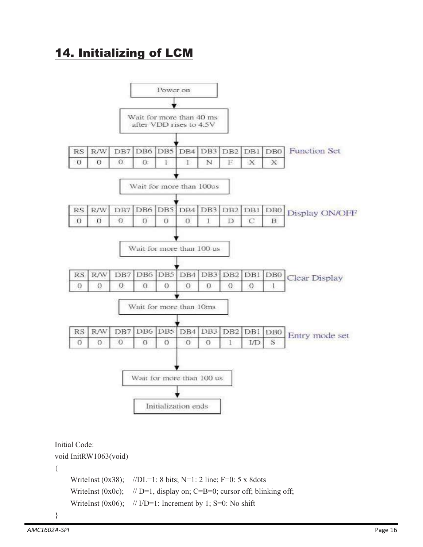### 14. Initializing of LCM



WriteInst (0x0c);  $// D=1$ , display on; C=B=0; cursor off; blinking off; WriteInst (0x06);  $// ID=1$ : Increment by 1; S=0: No shift

}

{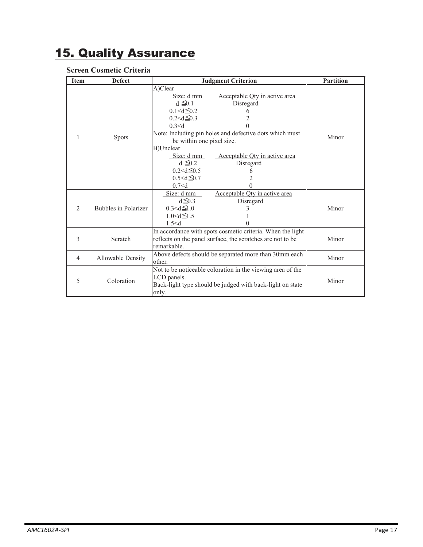## 15. Quality Assurance

#### **Screen Cosmetic Criteria**

| <b>Item</b>    | <b>Defect</b>               | <b>Judgment Criterion</b>                                                                                                                                                                                                                                                                                                                                                                                                 | <b>Partition</b> |
|----------------|-----------------------------|---------------------------------------------------------------------------------------------------------------------------------------------------------------------------------------------------------------------------------------------------------------------------------------------------------------------------------------------------------------------------------------------------------------------------|------------------|
| 1              | Spots                       | A)Clear<br>Acceptable Qty in active area<br>Size: d mm<br>$d \leq 0.1$<br>Disregard<br>$0.1 < d \leq 0.2$<br>6<br>$0.2 < d \leq 0.3$<br>2<br>0.3 < d<br>0<br>Note: Including pin holes and defective dots which must<br>be within one pixel size.<br>B)Unclear<br>Size: $d$ mm<br>Acceptable Qty in active area<br>$d \leq 0.2$<br>Disregard<br>$0.2 < d \leq 0.5$<br>6<br>$0.5 < d \leq 0.7$<br>2<br>0.7 < d<br>$\theta$ | Minor            |
| $\overline{2}$ | <b>Bubbles in Polarizer</b> | Acceptable Qty in active area<br>Size: d mm<br>$d \leq 0.3$<br>Disregard<br>$0.3 < d \leq 1.0$<br>3<br>$1.0 < d \leq 1.5$<br>1.5 < d<br>0                                                                                                                                                                                                                                                                                 | Minor            |
| 3              | Scratch                     | In accordance with spots cosmetic criteria. When the light<br>reflects on the panel surface, the scratches are not to be<br>remarkable.                                                                                                                                                                                                                                                                                   | Minor            |
| $\overline{4}$ | Allowable Density           | Above defects should be separated more than 30mm each<br>other.                                                                                                                                                                                                                                                                                                                                                           | Minor            |
| 5              | Coloration                  | Not to be noticeable coloration in the viewing area of the<br>LCD panels.<br>Back-light type should be judged with back-light on state<br>only.                                                                                                                                                                                                                                                                           | Minor            |